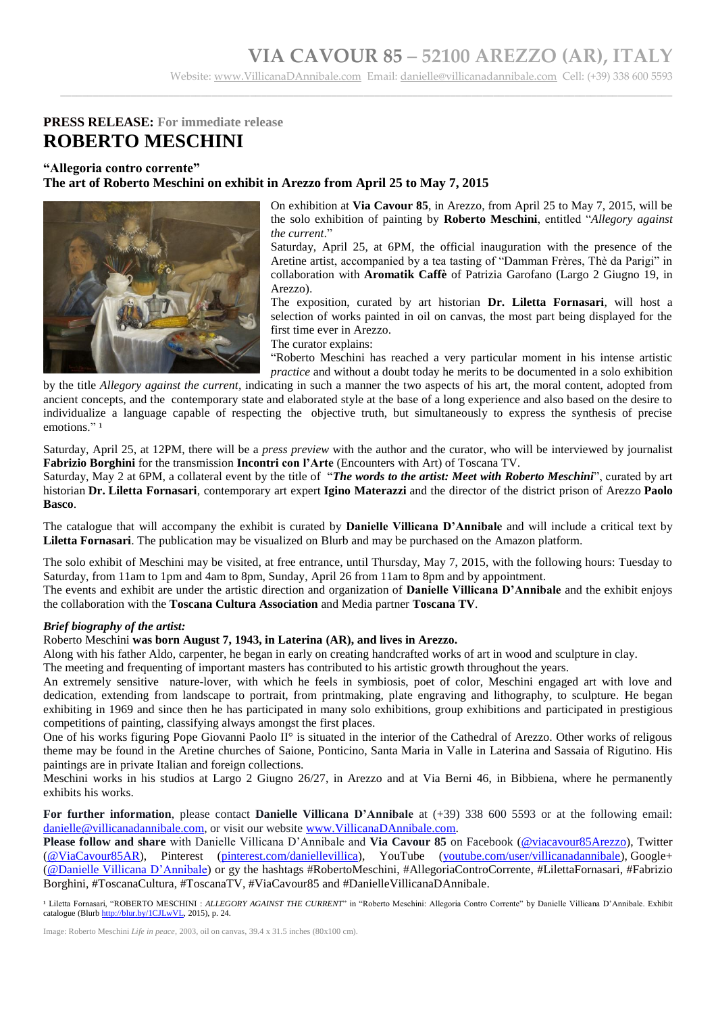\_\_\_\_\_\_\_\_\_\_\_\_\_\_\_\_\_\_\_\_\_\_\_\_\_\_\_\_\_\_\_\_\_\_\_\_\_\_\_\_\_\_\_\_\_\_\_\_\_\_\_\_\_\_\_\_\_\_\_\_\_\_\_\_\_\_\_\_\_\_\_\_\_\_\_\_\_\_\_\_\_\_\_\_\_\_\_\_\_\_\_\_\_\_\_\_\_\_\_\_\_\_\_\_\_\_\_\_\_\_\_\_\_

### **PRESS RELEASE: For immediate release ROBERTO MESCHINI**

#### **"Allegoria contro corrente" The art of Roberto Meschini on exhibit in Arezzo from April 25 to May 7, 2015**



On exhibition at **Via Cavour 85**, in Arezzo, from April 25 to May 7, 2015, will be the solo exhibition of painting by **Roberto Meschini**, entitled "*Allegory against the current*."

Saturday, April 25, at 6PM, the official inauguration with the presence of the Aretine artist, accompanied by a tea tasting of "Damman Frères, Thè da Parigi" in collaboration with **Aromatik Caffè** of Patrizia Garofano (Largo 2 Giugno 19, in Arezzo).

The exposition, curated by art historian **Dr. Liletta Fornasari**, will host a selection of works painted in oil on canvas, the most part being displayed for the first time ever in Arezzo.

The curator explains:

"Roberto Meschini has reached a very particular moment in his intense artistic *practice* and without a doubt today he merits to be documented in a solo exhibition

by the title *Allegory against the current,* indicating in such a manner the two aspects of his art, the moral content, adopted from ancient concepts, and the contemporary state and elaborated style at the base of a long experience and also based on the desire to individualize a language capable of respecting the objective truth, but simultaneously to express the synthesis of precise emotions."<sup>1</sup>

Saturday, April 25, at 12PM, there will be a *press preview* with the author and the curator, who will be interviewed by journalist **Fabrizio Borghini** for the transmission **Incontri con l'Arte** (Encounters with Art) of Toscana TV.

Saturday, May 2 at 6PM, a collateral event by the title of "*The words to the artist: Meet with Roberto Meschini*", curated by art historian **Dr. Liletta Fornasari**, contemporary art expert **Igino Materazzi** and the director of the district prison of Arezzo **Paolo Basco**.

The catalogue that will accompany the exhibit is curated by **Danielle Villicana D'Annibale** and will include a critical text by **Liletta Fornasari**. The publication may be visualized on Blurb and may be purchased on the Amazon platform.

The solo exhibit of Meschini may be visited, at free entrance, until Thursday, May 7, 2015, with the following hours: Tuesday to Saturday, from 11am to 1pm and 4am to 8pm, Sunday, April 26 from 11am to 8pm and by appointment.

The events and exhibit are under the artistic direction and organization of **Danielle Villicana D'Annibale** and the exhibit enjoys the collaboration with the **Toscana Cultura Association** and Media partner **Toscana TV**.

#### *Brief biography of the artist:*

#### Roberto Meschini **was born August 7, 1943, in Laterina (AR), and lives in Arezzo.**

Along with his father Aldo, carpenter, he began in early on creating handcrafted works of art in wood and sculpture in clay.

The meeting and frequenting of important masters has contributed to his artistic growth throughout the years.

An extremely sensitive nature-lover, with which he feels in symbiosis, poet of color, Meschini engaged art with love and dedication, extending from landscape to portrait, from printmaking, plate engraving and lithography, to sculpture. He began exhibiting in 1969 and since then he has participated in many solo exhibitions, group exhibitions and participated in prestigious competitions of painting, classifying always amongst the first places.

One of his works figuring Pope Giovanni Paolo II° is situated in the interior of the Cathedral of Arezzo. Other works of religous theme may be found in the Aretine churches of Saione, Ponticino, Santa Maria in Valle in Laterina and Sassaia of Rigutino. His paintings are in private Italian and foreign collections.

Meschini works in his studios at Largo 2 Giugno 26/27, in Arezzo and at Via Berni 46, in Bibbiena, where he permanently exhibits his works.

**For further information**, please contact **Danielle Villicana D'Annibale** at (+39) 338 600 5593 or at the following email: [danielle@villicanadannibale.com,](mailto:danielle@villicanadannibale.com) or visit our website [www.VillicanaDAnnibale.com.](http://www.villicanadannibale.com/)

**Please follow and share** with Danielle Villicana D'Annibale and **Via Cavour 85** on Facebook [\(@viacavour85Arezzo\)](https://www.facebook.com/viacavour85Arezzo), Twitter [\(@ViaCavour85AR\)](https://twitter.com/ViaCavour85AR), Pinterest [\(pinterest.com/daniellevillica\)](http://www.pinterest.com/daniellevillica/), YouTube [\(youtube.com/user/villicanadannibale\)](https://www.youtube.com/channel/UC3DSZzSUaiHRsYd_3Sukn-w), Google+ [\(@Danielle Villicana D'Annibale\)](https://plus.google.com/103068688442213088519/posts) or gy the hashtags #RobertoMeschini, #AllegoriaControCorrente, #LilettaFornasari, #Fabrizio Borghini, #ToscanaCultura, #ToscanaTV, #ViaCavour85 and #DanielleVillicanaDAnnibale.

<sup>1</sup> Liletta Fornasari, "ROBERTO MESCHINI : *ALLEGORY AGAINST THE CURRENT*" in "Roberto Meschini: Allegoria Contro Corrente" by Danielle Villicana D'Annibale. Exhibit catalogue (Blurb [http://blur.by/1CJLwVL,](http://blur.by/1CJLwVL) 2015), p. 24.

Image: Roberto Meschini *Life in peace*, 2003, oil on canvas, 39.4 x 31.5 inches (80x100 cm).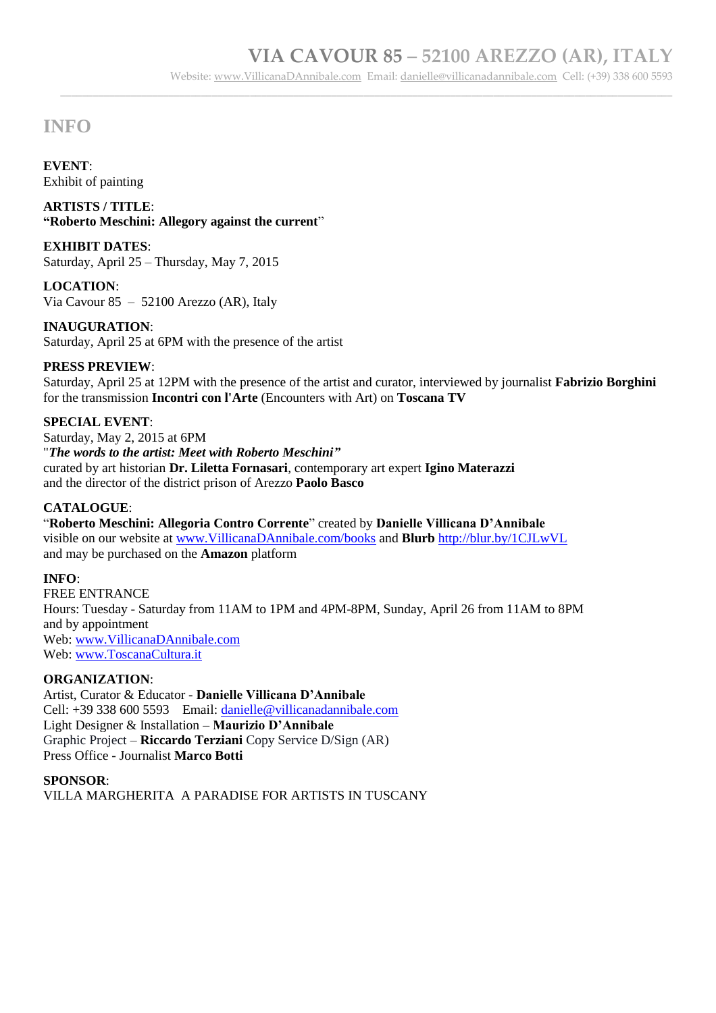\_\_\_\_\_\_\_\_\_\_\_\_\_\_\_\_\_\_\_\_\_\_\_\_\_\_\_\_\_\_\_\_\_\_\_\_\_\_\_\_\_\_\_\_\_\_\_\_\_\_\_\_\_\_\_\_\_\_\_\_\_\_\_\_\_\_\_\_\_\_\_\_\_\_\_\_\_\_\_\_\_\_\_\_\_\_\_\_\_\_\_\_\_\_\_\_\_\_\_\_\_\_\_\_\_\_\_\_\_\_\_\_\_

## **INFO**

**EVENT**: Exhibit of painting

**ARTISTS / TITLE**: **"Roberto Meschini: Allegory against the current**"

**EXHIBIT DATES**: Saturday, April 25 – Thursday, May 7, 2015

**LOCATION**: Via Cavour 85 – 52100 Arezzo (AR), Italy

**INAUGURATION**: Saturday, April 25 at 6PM with the presence of the artist

### **PRESS PREVIEW**:

Saturday, April 25 at 12PM with the presence of the artist and curator, interviewed by journalist **Fabrizio Borghini** for the transmission **Incontri con l'Arte** (Encounters with Art) on **Toscana TV**

#### **SPECIAL EVENT**:

Saturday, May 2, 2015 at 6PM "*The words to the artist: Meet with Roberto Meschini"* curated by art historian **Dr. Liletta Fornasari**, contemporary art expert **Igino Materazzi** and the director of the district prison of Arezzo **Paolo Basco**

### **CATALOGUE**:

"**Roberto Meschini: Allegoria Contro Corrente**" created by **Danielle Villicana D'Annibale**  visible on our website at [www.VillicanaDAnnibale.com/books](http://www.villicanadannibale.com/books) and **Blurb** <http://blur.by/1CJLwVL> and may be purchased on the **Amazon** platform

#### **INFO**:

FREE ENTRANCE Hours: Tuesday - Saturday from 11AM to 1PM and 4PM-8PM, Sunday, April 26 from 11AM to 8PM and by appointment Web: [www.VillicanaDAnnibale.com](http://www.villicanadannibale.com/) Web: [www.ToscanaCultura.it](http://www.toscanacultura.it/)

#### **ORGANIZATION**:

Artist, Curator & Educator - **Danielle Villicana D'Annibale** Cell: +39 338 600 5593 Email: [danielle@villicanadannibale.com](mailto:danielle@villicanadannibale.com) Light Designer & Installation – **Maurizio D'Annibale** Graphic Project – **Riccardo Terziani** Copy Service D/Sign (AR) Press Office **-** Journalist **Marco Botti**

#### **SPONSOR**:

VILLA MARGHERITA A PARADISE FOR ARTISTS IN TUSCANY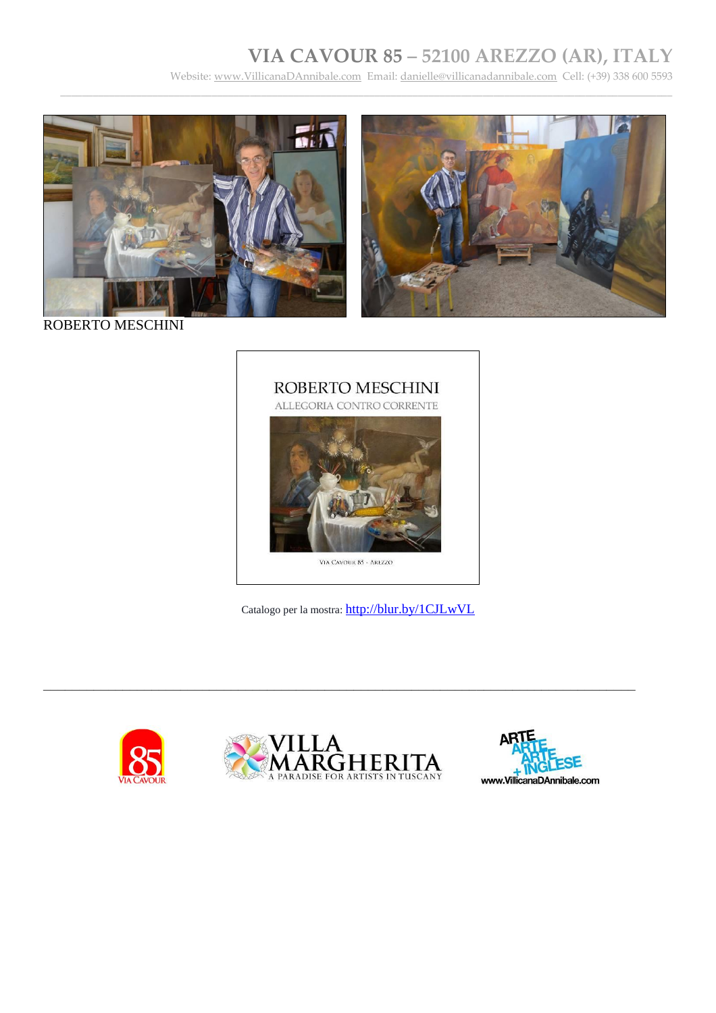## **VIA CAVOUR 85 – 52100 AREZZO (AR), ITALY**

Website: [www.VillicanaDAnnibale.com](http://www.villicanadannibale.com/) Email[: danielle@villicanadannibale.com](mailto:danielle@villicanadannibale.com) Cell: (+39) 338 600 5593

\_\_\_\_\_\_\_\_\_\_\_\_\_\_\_\_\_\_\_\_\_\_\_\_\_\_\_\_\_\_\_\_\_\_\_\_\_\_\_\_\_\_\_\_\_\_\_\_\_\_\_\_\_\_\_\_\_\_\_\_\_\_\_\_\_\_\_\_\_\_\_\_\_\_\_\_\_\_\_\_\_\_\_\_\_\_\_\_\_\_\_\_\_\_\_\_\_\_\_\_\_\_\_\_\_\_\_\_\_\_\_\_\_





ROBERTO MESCHINI



Catalogo per la mostra: <http://blur.by/1CJLwVL>





\_\_\_\_\_\_\_\_\_\_\_\_\_\_\_\_\_\_\_\_\_\_\_\_\_\_\_\_\_\_\_\_\_\_\_\_\_\_\_\_\_\_\_\_\_\_\_\_\_\_\_\_\_\_\_\_\_\_\_\_\_\_\_\_\_\_\_\_\_\_\_\_\_\_\_\_\_\_\_\_\_\_